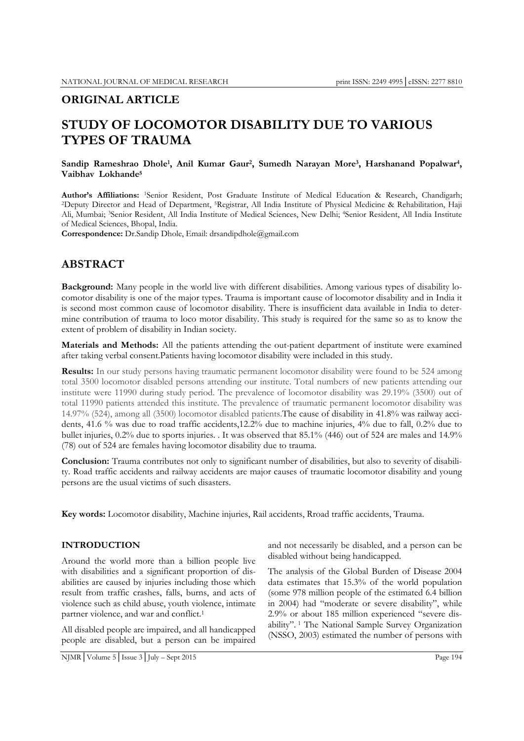# **ORIGINAL ARTICLE**

# **STUDY OF LOCOMOTOR DISABILITY DUE TO VARIOUS TYPES OF TRAUMA**

## **Sandip Rameshrao Dhole1, Anil Kumar Gaur2, Sumedh Narayan More3, Harshanand Popalwar4, Vaibhav Lokhande5**

Author's Affiliations: 1Senior Resident, Post Graduate Institute of Medical Education & Research, Chandigarh; 2Deputy Director and Head of Department, <sup>5</sup>Registrar, All India Institute of Physical Medicine & Rehabilitation Ali, Mumbai; 3Senior Resident, All India Institute of Medical Sciences, New Delhi; 4Senior Resident, All India Institute of Medical Sciences, Bhopal, India.

**Correspondence:** Dr.Sandip Dhole, Email: drsandipdhole@gmail.com

# **ABSTRACT**

**Background:** Many people in the world live with different disabilities. Among various types of disability locomotor disability is one of the major types. Trauma is important cause of locomotor disability and in India it is second most common cause of locomotor disability. There is insufficient data available in India to determine contribution of trauma to loco motor disability. This study is required for the same so as to know the extent of problem of disability in Indian society.

**Materials and Methods:** All the patients attending the out-patient department of institute were examined after taking verbal consent.Patients having locomotor disability were included in this study.

**Results:** In our study persons having traumatic permanent locomotor disability were found to be 524 among total 3500 locomotor disabled persons attending our institute. Total numbers of new patients attending our institute were 11990 during study period. The prevalence of locomotor disability was 29.19% (3500) out of total 11990 patients attended this institute. The prevalence of traumatic permanent locomotor disability was 14.97% (524), among all (3500) locomotor disabled patients.The cause of disability in 41.8% was railway accidents, 41.6 % was due to road traffic accidents,12.2% due to machine injuries, 4% due to fall, 0.2% due to bullet injuries, 0.2% due to sports injuries. . It was observed that 85.1% (446) out of 524 are males and 14.9% (78) out of 524 are females having locomotor disability due to trauma.

**Conclusion:** Trauma contributes not only to significant number of disabilities, but also to severity of disability. Road traffic accidents and railway accidents are major causes of traumatic locomotor disability and young persons are the usual victims of such disasters.

**Key words:** Locomotor disability, Machine injuries, Rail accidents, Rroad traffic accidents, Trauma.

# **INTRODUCTION**

Around the world more than a billion people live with disabilities and a significant proportion of disabilities are caused by injuries including those which result from traffic crashes, falls, burns, and acts of violence such as child abuse, youth violence, intimate partner violence, and war and conflict.<sup>1</sup>

All disabled people are impaired, and all handicapped people are disabled, but a person can be impaired and not necessarily be disabled, and a person can be disabled without being handicapped.

The analysis of the Global Burden of Disease 2004 data estimates that 15.3% of the world population (some 978 million people of the estimated 6.4 billion in 2004) had "moderate or severe disability", while 2.9% or about 185 million experienced "severe disability". 1 The National Sample Survey Organization (NSSO, 2003) estimated the number of persons with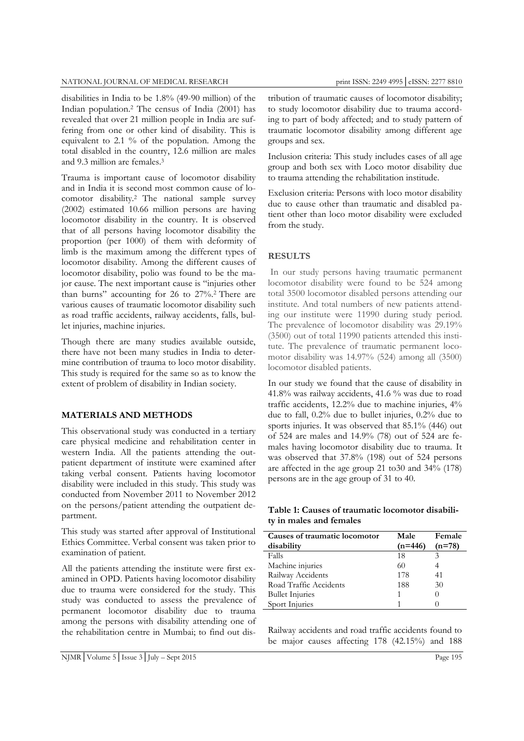disabilities in India to be 1.8% (49-90 million) of the Indian population.2 The census of India (2001) has revealed that over 21 million people in India are suffering from one or other kind of disability. This is equivalent to 2.1 % of the population. Among the total disabled in the country, 12.6 million are males and 9.3 million are females.3

Trauma is important cause of locomotor disability and in India it is second most common cause of locomotor disability.2 The national sample survey (2002) estimated 10.66 million persons are having locomotor disability in the country. It is observed that of all persons having locomotor disability the proportion (per 1000) of them with deformity of limb is the maximum among the different types of locomotor disability. Among the different causes of locomotor disability, polio was found to be the major cause. The next important cause is "injuries other than burns" accounting for 26 to 27%.2 There are various causes of traumatic locomotor disability such as road traffic accidents, railway accidents, falls, bullet injuries, machine injuries.

Though there are many studies available outside, there have not been many studies in India to determine contribution of trauma to loco motor disability. This study is required for the same so as to know the extent of problem of disability in Indian society.

## **MATERIALS AND METHODS**

This observational study was conducted in a tertiary care physical medicine and rehabilitation center in western India. All the patients attending the outpatient department of institute were examined after taking verbal consent. Patients having locomotor disability were included in this study. This study was conducted from November 2011 to November 2012 on the persons/patient attending the outpatient department.

This study was started after approval of Institutional Ethics Committee. Verbal consent was taken prior to examination of patient.

All the patients attending the institute were first examined in OPD. Patients having locomotor disability due to trauma were considered for the study. This study was conducted to assess the prevalence of permanent locomotor disability due to trauma among the persons with disability attending one of the rehabilitation centre in Mumbai; to find out dis-

tribution of traumatic causes of locomotor disability; to study locomotor disability due to trauma according to part of body affected; and to study pattern of traumatic locomotor disability among different age groups and sex.

Inclusion criteria: This study includes cases of all age group and both sex with Loco motor disability due to trauma attending the rehabilitation institude.

Exclusion criteria: Persons with loco motor disability due to cause other than traumatic and disabled patient other than loco motor disability were excluded from the study.

# **RESULTS**

 In our study persons having traumatic permanent locomotor disability were found to be 524 among total 3500 locomotor disabled persons attending our institute. And total numbers of new patients attending our institute were 11990 during study period. The prevalence of locomotor disability was 29.19% (3500) out of total 11990 patients attended this institute. The prevalence of traumatic permanent locomotor disability was 14.97% (524) among all (3500) locomotor disabled patients.

In our study we found that the cause of disability in 41.8% was railway accidents, 41.6 % was due to road traffic accidents, 12.2% due to machine injuries, 4% due to fall, 0.2% due to bullet injuries, 0.2% due to sports injuries. It was observed that 85.1% (446) out of 524 are males and 14.9% (78) out of 524 are females having locomotor disability due to trauma. It was observed that 37.8% (198) out of 524 persons are affected in the age group 21 to30 and 34% (178) persons are in the age group of 31 to 40.

## **Table 1: Causes of traumatic locomotor disability in males and females**

| Causes of traumatic locomotor | Male      | Female   |
|-------------------------------|-----------|----------|
| disability                    | $(n=446)$ | $(n=78)$ |
| Falls                         | 18        |          |
| Machine injuries              | 60        |          |
| Railway Accidents             | 178       | 41       |
| Road Traffic Accidents        | 188       | 30       |
| <b>Bullet Injuries</b>        |           |          |
| Sport Injuries                |           |          |

Railway accidents and road traffic accidents found to be major causes affecting 178 (42.15%) and 188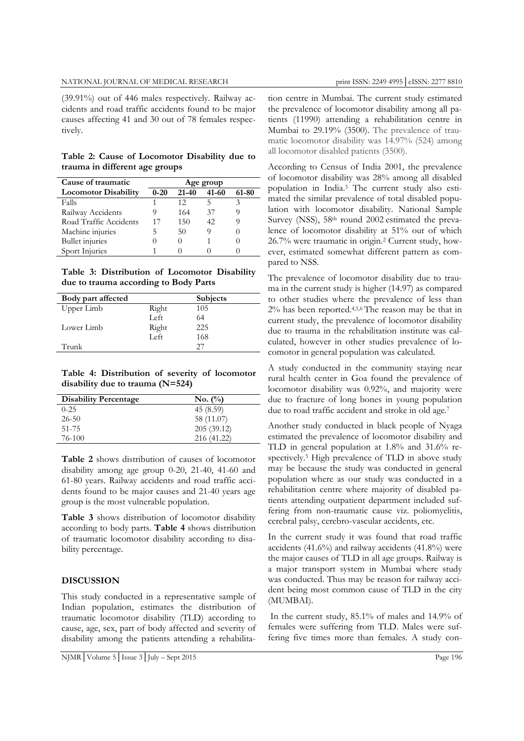#### NATIONAL JOURNAL OF MEDICAL RESEARCH print ISSN: 2249 4995 | eISSN: 2277 8810

(39.91%) out of 446 males respectively. Railway accidents and road traffic accidents found to be major causes affecting 41 and 30 out of 78 females respectively.

**Table 2: Cause of Locomotor Disability due to trauma in different age groups** 

| Cause of traumatic          | Age group |           |       |       |
|-----------------------------|-----------|-----------|-------|-------|
| <b>Locomotor Disability</b> | $0 - 20$  | $21 - 40$ | 41-60 | 61-80 |
| Falls                       |           | 12        | ↖     |       |
| Railway Accidents           |           | 164       | 37    |       |
| Road Traffic Accidents      | 17        | 150       | 42    |       |
| Machine injuries            | ר         | 50        | O)    |       |
| <b>Bullet</b> injuries      |           |           |       |       |
| Sport Injuries              |           |           |       |       |

**Table 3: Distribution of Locomotor Disability due to trauma according to Body Parts** 

| Body part affected |       | <b>Subjects</b> |  |
|--------------------|-------|-----------------|--|
| Upper Limb         | Right | 105             |  |
|                    | Left  | 64              |  |
| Lower Limb         | Right | 225             |  |
|                    | Left  | 168             |  |
| Trunk              |       | 27              |  |

**Table 4: Distribution of severity of locomotor disability due to trauma (N=524)** 

| <b>Disability Percentage</b> | No. (%)     |
|------------------------------|-------------|
| $0 - 25$                     | 45 (8.59)   |
| $26 - 50$                    | 58 (11.07)  |
| 51-75                        | 205(39.12)  |
| 76-100                       | 216 (41.22) |

**Table 2** shows distribution of causes of locomotor disability among age group 0-20, 21-40, 41-60 and 61-80 years. Railway accidents and road traffic accidents found to be major causes and 21-40 years age group is the most vulnerable population.

**Table 3** shows distribution of locomotor disability according to body parts. **Table 4** shows distribution of traumatic locomotor disability according to disability percentage.

#### **DISCUSSION**

This study conducted in a representative sample of Indian population, estimates the distribution of traumatic locomotor disability (TLD) according to cause, age, sex, part of body affected and severity of disability among the patients attending a rehabilita-

NJMR│Volume 5│Issue 3│July – Sept 2015 Page 196

tion centre in Mumbai. The current study estimated the prevalence of locomotor disability among all patients (11990) attending a rehabilitation centre in Mumbai to 29.19% (3500). The prevalence of traumatic locomotor disability was 14.97% (524) among all locomotor disabled patients (3500).

According to Census of India 2001, the prevalence of locomotor disability was 28% among all disabled population in India.3 The current study also estimated the similar prevalence of total disabled population with locomotor disability. National Sample Survey (NSS), 58<sup>th</sup> round 2002 estimated the prevalence of locomotor disability at 51% out of which 26.7% were traumatic in origin.2 Current study, however, estimated somewhat different pattern as compared to NSS.

The prevalence of locomotor disability due to trauma in the current study is higher (14.97) as compared to other studies where the prevalence of less than 2% has been reported.4,5,6 The reason may be that in current study, the prevalence of locomotor disability due to trauma in the rehabilitation institute was calculated, however in other studies prevalence of locomotor in general population was calculated.

A study conducted in the community staying near rural health center in Goa found the prevalence of locomotor disability was 0.92%, and majority were due to fracture of long bones in young population due to road traffic accident and stroke in old age.<sup>7</sup>

Another study conducted in black people of Nyaga estimated the prevalence of locomotor disability and TLD in general population at 1.8% and 31.6% respectively.5 High prevalence of TLD in above study may be because the study was conducted in general population where as our study was conducted in a rehabilitation centre where majority of disabled patients attending outpatient department included suffering from non-traumatic cause viz. poliomyelitis, cerebral palsy, cerebro-vascular accidents, etc.

In the current study it was found that road traffic accidents (41.6%) and railway accidents (41.8%) were the major causes of TLD in all age groups. Railway is a major transport system in Mumbai where study was conducted. Thus may be reason for railway accident being most common cause of TLD in the city (MUMBAI).

 In the current study, 85.1% of males and 14.9% of females were suffering from TLD. Males were suffering five times more than females. A study con-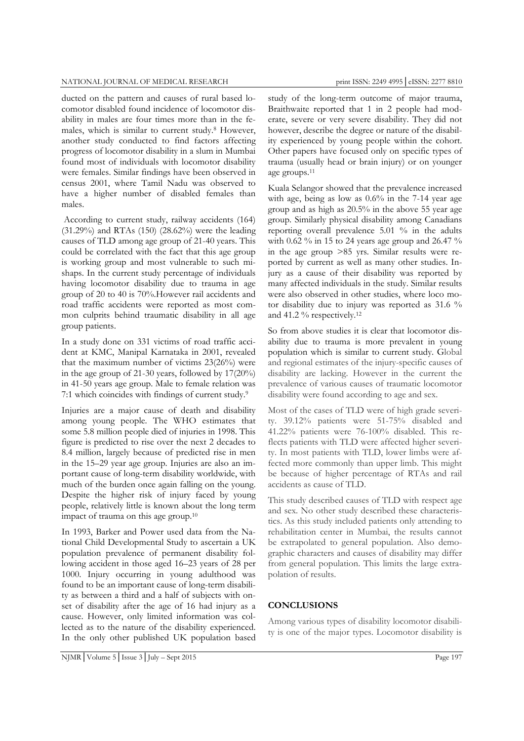#### NATIONAL JOURNAL OF MEDICAL RESEARCH print ISSN: 2249 4995 | eISSN: 2277 8810

ducted on the pattern and causes of rural based locomotor disabled found incidence of locomotor disability in males are four times more than in the females, which is similar to current study.8 However, another study conducted to find factors affecting progress of locomotor disability in a slum in Mumbai found most of individuals with locomotor disability were females. Similar findings have been observed in census 2001, where Tamil Nadu was observed to have a higher number of disabled females than males.

 According to current study, railway accidents (164) (31.29%) and RTAs (150) (28.62%) were the leading causes of TLD among age group of 21-40 years. This could be correlated with the fact that this age group is working group and most vulnerable to such mishaps. In the current study percentage of individuals having locomotor disability due to trauma in age group of 20 to 40 is 70%.However rail accidents and road traffic accidents were reported as most common culprits behind traumatic disability in all age group patients.

In a study done on 331 victims of road traffic accident at KMC, Manipal Karnataka in 2001, revealed that the maximum number of victims 23(26%) were in the age group of 21-30 years, followed by 17(20%) in 41-50 years age group. Male to female relation was 7:1 which coincides with findings of current study.9

Injuries are a major cause of death and disability among young people. The WHO estimates that some 5.8 million people died of injuries in 1998. This figure is predicted to rise over the next 2 decades to 8.4 million, largely because of predicted rise in men in the 15–29 year age group. Injuries are also an important cause of long-term disability worldwide, with much of the burden once again falling on the young. Despite the higher risk of injury faced by young people, relatively little is known about the long term impact of trauma on this age group.10

In 1993, Barker and Power used data from the National Child Developmental Study to ascertain a UK population prevalence of permanent disability following accident in those aged 16–23 years of 28 per 1000. Injury occurring in young adulthood was found to be an important cause of long-term disability as between a third and a half of subjects with onset of disability after the age of 16 had injury as a cause. However, only limited information was collected as to the nature of the disability experienced. In the only other published UK population based study of the long-term outcome of major trauma, Braithwaite reported that 1 in 2 people had moderate, severe or very severe disability. They did not however, describe the degree or nature of the disability experienced by young people within the cohort. Other papers have focused only on specific types of trauma (usually head or brain injury) or on younger age groups.11

Kuala Selangor showed that the prevalence increased with age, being as low as 0.6% in the 7-14 year age group and as high as 20.5% in the above 55 year age group. Similarly physical disability among Canadians reporting overall prevalence 5.01 % in the adults with 0.62 % in 15 to 24 years age group and 26.47 % in the age group >85 yrs. Similar results were reported by current as well as many other studies. Injury as a cause of their disability was reported by many affected individuals in the study. Similar results were also observed in other studies, where loco motor disability due to injury was reported as 31.6 % and 41.2 % respectively.12

So from above studies it is clear that locomotor disability due to trauma is more prevalent in young population which is similar to current study. Global and regional estimates of the injury-specific causes of disability are lacking. However in the current the prevalence of various causes of traumatic locomotor disability were found according to age and sex.

Most of the cases of TLD were of high grade severity. 39.12% patients were 51-75% disabled and 41.22% patients were 76-100% disabled. This reflects patients with TLD were affected higher severity. In most patients with TLD, lower limbs were affected more commonly than upper limb. This might be because of higher percentage of RTAs and rail accidents as cause of TLD.

This study described causes of TLD with respect age and sex. No other study described these characteristics. As this study included patients only attending to rehabilitation center in Mumbai, the results cannot be extrapolated to general population. Also demographic characters and causes of disability may differ from general population. This limits the large extrapolation of results.

# **CONCLUSIONS**

Among various types of disability locomotor disability is one of the major types. Locomotor disability is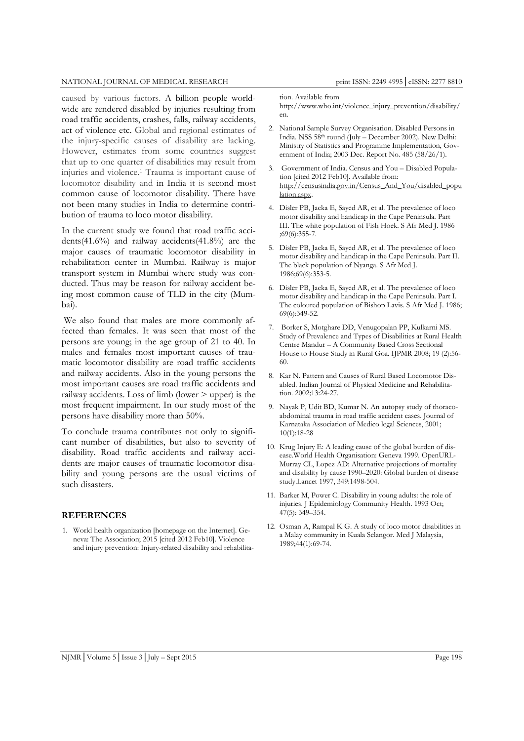#### NATIONAL JOURNAL OF MEDICAL RESEARCH print ISSN: 2249 4995 | eISSN: 2277 8810

caused by various factors. A billion people worldwide are rendered disabled by injuries resulting from road traffic accidents, crashes, falls, railway accidents, act of violence etc. Global and regional estimates of the injury-specific causes of disability are lacking. However, estimates from some countries suggest that up to one quarter of disabilities may result from injuries and violence.1 Trauma is important cause of locomotor disability and in India it is second most common cause of locomotor disability. There have not been many studies in India to determine contribution of trauma to loco motor disability.

In the current study we found that road traffic accidents(41.6%) and railway accidents(41.8%) are the major causes of traumatic locomotor disability in rehabilitation center in Mumbai. Railway is major transport system in Mumbai where study was conducted. Thus may be reason for railway accident being most common cause of TLD in the city (Mumbai).

 We also found that males are more commonly affected than females. It was seen that most of the persons are young; in the age group of 21 to 40. In males and females most important causes of traumatic locomotor disability are road traffic accidents and railway accidents. Also in the young persons the most important causes are road traffic accidents and railway accidents. Loss of limb (lower > upper) is the most frequent impairment. In our study most of the persons have disability more than 50%.

To conclude trauma contributes not only to significant number of disabilities, but also to severity of disability. Road traffic accidents and railway accidents are major causes of traumatic locomotor disability and young persons are the usual victims of such disasters.

## **REFERENCES**

1. World health organization [homepage on the Internet]. Geneva: The Association; 2015 [cited 2012 Feb10]. Violence and injury prevention: Injury-related disability and rehabilitation. Available from

http://www.who.int/violence\_injury\_prevention/disability/ en.

- 2. National Sample Survey Organisation. Disabled Persons in India. NSS 58th round (July – December 2002). New Delhi: Ministry of Statistics and Programme Implementation, Government of India; 2003 Dec. Report No. 485 (58/26/1).
- 3. Government of India. Census and You Disabled Population [cited 2012 Feb10]. Available from: http://censusindia.gov.in/Census\_And\_You/disabled\_popu lation.aspx.
- 4. Disler PB, Jacka E, Sayed AR, et al. The prevalence of loco motor disability and handicap in the Cape Peninsula. Part III. The white population of Fish Hoek. S Afr Med J. 1986 ;69(6):355-7.
- 5. Disler PB, Jacka E, Sayed AR, et al. The prevalence of loco motor disability and handicap in the Cape Peninsula. Part II. The black population of Nyanga. S Afr Med J. 1986;69(6):353-5.
- 6. Disler PB, Jacka E, Sayed AR, et al. The prevalence of loco motor disability and handicap in the Cape Peninsula. Part I. The coloured population of Bishop Lavis. S Afr Med J. 1986; 69(6):349-52.
- 7. Borker S, Motghare DD, Venugopalan PP, Kulkarni MS. Study of Prevalence and Types of Disabilities at Rural Health Centre Mandur – A Community Based Cross Sectional House to House Study in Rural Goa. IJPMR 2008; 19 (2):56- 60.
- 8. Kar N. Pattern and Causes of Rural Based Locomotor Disabled. Indian Journal of Physical Medicine and Rehabilitation. 2002;13:24-27.
- 9. Nayak P, Udit BD, Kumar N. An autopsy study of thoracoabdominal trauma in road traffic accident cases. Journal of Karnataka Association of Medico legal Sciences, 2001; 10(1):18-28
- 10. Krug Injury E: A leading cause of the global burden of disease.World Health Organisation: Geneva 1999. OpenURL-Murray CL, Lopez AD: Alternative projections of mortality and disability by cause 1990–2020: Global burden of disease study.Lancet 1997, 349:1498-504.
- 11. Barker M, Power C. Disability in young adults: the role of injuries. J Epidemiology Community Health. 1993 Oct; 47(5): 349–354.
- 12. Osman A, Rampal K G. A study of loco motor disabilities in a Malay community in Kuala Selangor. Med J Malaysia, 1989;44(1):69-74.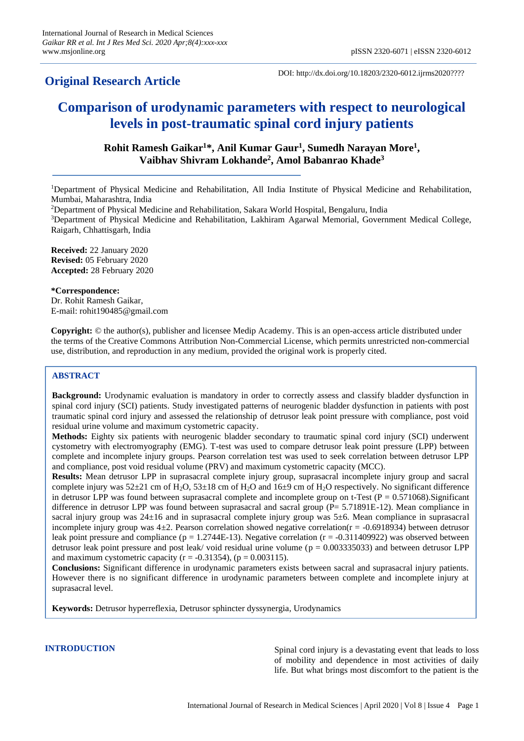# **Original Research Article**

DOI: http://dx.doi.org/10.18203/2320-6012.ijrms2020????

# **Comparison of urodynamic parameters with respect to neurological levels in post-traumatic spinal cord injury patients**

**Rohit Ramesh Gaikar<sup>1</sup>\*, Anil Kumar Gaur<sup>1</sup> , Sumedh Narayan More<sup>1</sup> , Vaibhav Shivram Lokhande<sup>2</sup> , Amol Babanrao Khade<sup>3</sup>**

<sup>1</sup>Department of Physical Medicine and Rehabilitation, All India Institute of Physical Medicine and Rehabilitation, Mumbai, Maharashtra, India

<sup>2</sup>Department of Physical Medicine and Rehabilitation, Sakara World Hospital, Bengaluru, India

<sup>3</sup>Department of Physical Medicine and Rehabilitation, Lakhiram Agarwal Memorial, Government Medical College, Raigarh, Chhattisgarh, India

**Received:** 22 January 2020 **Revised:** 05 February 2020 **Accepted:** 28 February 2020

**\*Correspondence:** Dr. Rohit Ramesh Gaikar, E-mail: rohit190485@gmail.com

**Copyright:** © the author(s), publisher and licensee Medip Academy. This is an open-access article distributed under the terms of the Creative Commons Attribution Non-Commercial License, which permits unrestricted non-commercial use, distribution, and reproduction in any medium, provided the original work is properly cited.

## **ABSTRACT**

**Background:** Urodynamic evaluation is mandatory in order to correctly assess and classify bladder dysfunction in spinal cord injury (SCI) patients. Study investigated patterns of neurogenic bladder dysfunction in patients with post traumatic spinal cord injury and assessed the relationship of detrusor leak point pressure with compliance, post void residual urine volume and maximum cystometric capacity.

**Methods:** Eighty six patients with neurogenic bladder secondary to traumatic spinal cord injury (SCI) underwent cystometry with electromyography (EMG). T-test was used to compare detrusor leak point pressure (LPP) between complete and incomplete injury groups. Pearson correlation test was used to seek correlation between detrusor LPP and compliance, post void residual volume (PRV) and maximum cystometric capacity (MCC).

**Results:** Mean detrusor LPP in suprasacral complete injury group, suprasacral incomplete injury group and sacral complete injury was  $52\pm21$  cm of H<sub>2</sub>O,  $53\pm18$  cm of H<sub>2</sub>O and  $16\pm9$  cm of H<sub>2</sub>O respectively. No significant difference in detrusor LPP was found between suprasacral complete and incomplete group on t-Test ( $P = 0.571068$ ). Significant difference in detrusor LPP was found between suprasacral and sacral group (P= 5.71891E-12). Mean compliance in sacral injury group was  $24\pm16$  and in suprasacral complete injury group was 5 $\pm$ 6. Mean compliance in suprasacral incomplete injury group was  $4\pm 2$ . Pearson correlation showed negative correlation( $r = -0.6918934$ ) between detrusor leak point pressure and compliance ( $p = 1.2744E-13$ ). Negative correlation ( $r = -0.311409922$ ) was observed between detrusor leak point pressure and post leak/ void residual urine volume ( $p = 0.003335033$ ) and between detrusor LPP and maximum cystometric capacity ( $r = -0.31354$ ), ( $p = 0.003115$ ).

**Conclusions:** Significant difference in urodynamic parameters exists between sacral and suprasacral injury patients. However there is no significant difference in urodynamic parameters between complete and incomplete injury at suprasacral level.

**Keywords:** Detrusor hyperreflexia, Detrusor sphincter dyssynergia, Urodynamics

**INTRODUCTION** Spinal cord injury is a devastating event that leads to loss of mobility and dependence in most activities of daily life. But what brings most discomfort to the patient is the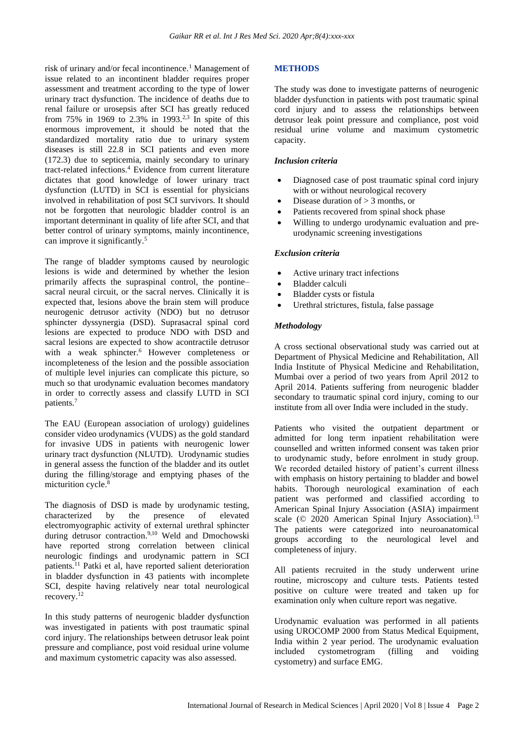risk of urinary and/or fecal incontinence.<sup>1</sup> Management of issue related to an incontinent bladder requires proper assessment and treatment according to the type of lower urinary tract dysfunction. The incidence of deaths due to renal failure or urosepsis after SCI has greatly reduced from 75% in 1969 to 2.3% in 1993.<sup>2,3</sup> In spite of this enormous improvement, it should be noted that the standardized mortality ratio due to urinary system diseases is still 22.8 in SCI patients and even more (172.3) due to septicemia, mainly secondary to urinary tract-related infections.<sup>4</sup> Evidence from current literature dictates that good knowledge of lower urinary tract dysfunction (LUTD) in SCI is essential for physicians involved in rehabilitation of post SCI survivors. It should not be forgotten that neurologic bladder control is an important determinant in quality of life after SCI, and that better control of urinary symptoms, mainly incontinence, can improve it significantly.<sup>5</sup>

The range of bladder symptoms caused by neurologic lesions is wide and determined by whether the lesion primarily affects the supraspinal control, the pontine– sacral neural circuit, or the sacral nerves. Clinically it is expected that, lesions above the brain stem will produce neurogenic detrusor activity (NDO) but no detrusor sphincter dyssynergia (DSD). Suprasacral spinal cord lesions are expected to produce NDO with DSD and sacral lesions are expected to show acontractile detrusor with a weak sphincter.<sup>6</sup> However completeness or incompleteness of the lesion and the possible association of multiple level injuries can complicate this picture, so much so that urodynamic evaluation becomes mandatory in order to correctly assess and classify LUTD in SCI patients.<sup>7</sup>

The EAU (European association of urology) guidelines consider video urodynamics (VUDS) as the gold standard for invasive UDS in patients with neurogenic lower urinary tract dysfunction (NLUTD). Urodynamic studies in general assess the function of the bladder and its outlet during the filling/storage and emptying phases of the micturition cycle.<sup>8</sup>

The diagnosis of DSD is made by urodynamic testing, characterized by the presence of elevated electromyographic activity of external urethral sphincter during detrusor contraction.<sup>9,10</sup> Weld and Dmochowski have reported strong correlation between clinical neurologic findings and urodynamic pattern in SCI patients.<sup>11</sup> Patki et al, have reported salient deterioration in bladder dysfunction in 43 patients with incomplete SCI, despite having relatively near total neurological recovery.<sup>12</sup>

In this study patterns of neurogenic bladder dysfunction was investigated in patients with post traumatic spinal cord injury. The relationships between detrusor leak point pressure and compliance, post void residual urine volume and maximum cystometric capacity was also assessed.

#### **METHODS**

The study was done to investigate patterns of neurogenic bladder dysfunction in patients with post traumatic spinal cord injury and to assess the relationships between detrusor leak point pressure and compliance, post void residual urine volume and maximum cystometric capacity.

#### *Inclusion criteria*

- Diagnosed case of post traumatic spinal cord injury with or without neurological recovery
- Disease duration of  $> 3$  months, or
- Patients recovered from spinal shock phase
- Willing to undergo urodynamic evaluation and preurodynamic screening investigations

#### *Exclusion criteria*

- Active urinary tract infections
- Bladder calculi
- Bladder cysts or fistula
- Urethral strictures, fistula, false passage

#### *Methodology*

A cross sectional observational study was carried out at Department of Physical Medicine and Rehabilitation, All India Institute of Physical Medicine and Rehabilitation, Mumbai over a period of two years from April 2012 to April 2014. Patients suffering from neurogenic bladder secondary to traumatic spinal cord injury, coming to our institute from all over India were included in the study.

Patients who visited the outpatient department or admitted for long term inpatient rehabilitation were counselled and written informed consent was taken prior to urodynamic study, before enrolment in study group. We recorded detailed history of patient's current illness with emphasis on history pertaining to bladder and bowel habits. Thorough neurological examination of each patient was performed and classified according to American Spinal Injury Association (ASIA) impairment scale (© 2020 American Spinal Injury Association).<sup>13</sup> The patients were categorized into neuroanatomical groups according to the neurological level and completeness of injury.

All patients recruited in the study underwent urine routine, microscopy and culture tests. Patients tested positive on culture were treated and taken up for examination only when culture report was negative.

Urodynamic evaluation was performed in all patients using UROCOMP 2000 from Status Medical Equipment, India within 2 year period. The urodynamic evaluation included cystometrogram (filling and voiding cystometry) and surface EMG.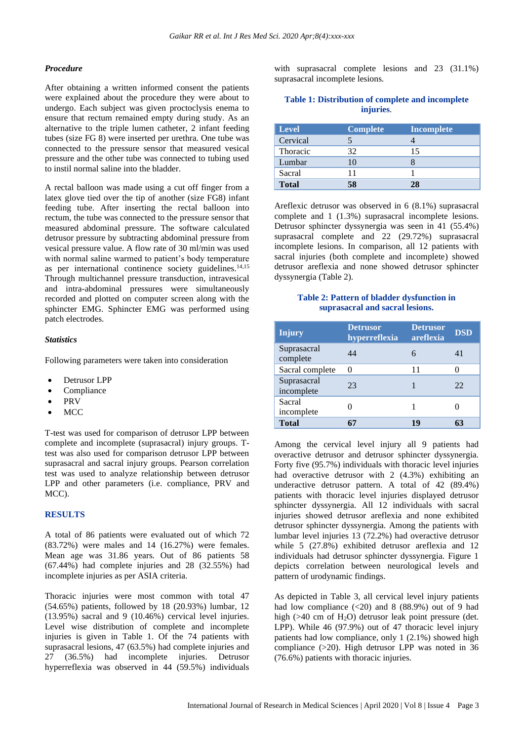#### *Procedure*

After obtaining a written informed consent the patients were explained about the procedure they were about to undergo. Each subject was given proctoclysis enema to ensure that rectum remained empty during study. As an alternative to the triple lumen catheter, 2 infant feeding tubes (size FG 8) were inserted per urethra. One tube was connected to the pressure sensor that measured vesical pressure and the other tube was connected to tubing used to instil normal saline into the bladder.

A rectal balloon was made using a cut off finger from a latex glove tied over the tip of another (size FG8) infant feeding tube. After inserting the rectal balloon into rectum, the tube was connected to the pressure sensor that measured abdominal pressure. The software calculated detrusor pressure by subtracting abdominal pressure from vesical pressure value. A flow rate of 30 ml/min was used with normal saline warmed to patient's body temperature as per international continence society guidelines. $14,15$ Through multichannel pressure transduction, intravesical and intra-abdominal pressures were simultaneously recorded and plotted on computer screen along with the sphincter EMG. Sphincter EMG was performed using patch electrodes.

#### *Statistics*

Following parameters were taken into consideration

- Detrusor LPP
- Compliance
- PRV
- MCC

T-test was used for comparison of detrusor LPP between complete and incomplete (suprasacral) injury groups. Ttest was also used for comparison detrusor LPP between suprasacral and sacral injury groups. Pearson correlation test was used to analyze relationship between detrusor LPP and other parameters (i.e. compliance, PRV and MCC).

#### **RESULTS**

A total of 86 patients were evaluated out of which 72 (83.72%) were males and 14 (16.27%) were females. Mean age was 31.86 years. Out of 86 patients 58 (67.44%) had complete injuries and 28 (32.55%) had incomplete injuries as per ASIA criteria.

Thoracic injuries were most common with total 47 (54.65%) patients, followed by 18 (20.93%) lumbar, 12 (13.95%) sacral and 9 (10.46%) cervical level injuries. Level wise distribution of complete and incomplete injuries is given in Table 1. Of the 74 patients with suprasacral lesions, 47 (63.5%) had complete injuries and 27 (36.5%) had incomplete injuries. Detrusor hyperreflexia was observed in 44 (59.5%) individuals

with suprasacral complete lesions and 23 (31.1%) suprasacral incomplete lesions.

#### **Table 1: Distribution of complete and incomplete injuries**.

| <b>Level</b> | <b>Complete</b> | <b>Incomplete</b> |
|--------------|-----------------|-------------------|
| Cervical     |                 |                   |
| Thoracic     | 32              | 15                |
| Lumbar       | 10              |                   |
| Sacral       |                 |                   |
| <b>Total</b> |                 |                   |

Areflexic detrusor was observed in 6 (8.1%) suprasacral complete and 1 (1.3%) suprasacral incomplete lesions. Detrusor sphincter dyssynergia was seen in 41 (55.4%) suprasacral complete and 22 (29.72%) suprasacral incomplete lesions. In comparison, all 12 patients with sacral injuries (both complete and incomplete) showed detrusor areflexia and none showed detrusor sphincter dyssynergia (Table 2).

## **Table 2: Pattern of bladder dysfunction in suprasacral and sacral lesions.**

| <b>Injury</b>             | <b>Detrusor</b><br>hyperreflexia | <b>Detrusor</b><br>areflexia | <b>DSD</b> |
|---------------------------|----------------------------------|------------------------------|------------|
| Suprasacral<br>complete   | 44                               | 6                            | 41         |
| Sacral complete           | $\mathbf{\Omega}$                | 11                           |            |
| Suprasacral<br>incomplete | 23                               |                              | 22         |
| Sacral<br>incomplete      |                                  |                              |            |
| <b>Total</b>              |                                  | 19                           |            |

Among the cervical level injury all 9 patients had overactive detrusor and detrusor sphincter dyssynergia. Forty five (95.7%) individuals with thoracic level injuries had overactive detrusor with 2 (4.3%) exhibiting an underactive detrusor pattern. A total of 42 (89.4%) patients with thoracic level injuries displayed detrusor sphincter dyssynergia. All 12 individuals with sacral injuries showed detrusor areflexia and none exhibited detrusor sphincter dyssynergia. Among the patients with lumbar level injuries 13 (72.2%) had overactive detrusor while 5 (27.8%) exhibited detrusor areflexia and 12 individuals had detrusor sphincter dyssynergia. Figure 1 depicts correlation between neurological levels and pattern of urodynamic findings.

As depicted in Table 3, all cervical level injury patients had low compliance  $(\leq 20)$  and 8  $(88.9\%)$  out of 9 had high ( $>40$  cm of H<sub>2</sub>O) detrusor leak point pressure (det. LPP). While 46 (97.9%) out of 47 thoracic level injury patients had low compliance, only 1 (2.1%) showed high compliance (>20). High detrusor LPP was noted in 36 (76.6%) patients with thoracic injuries.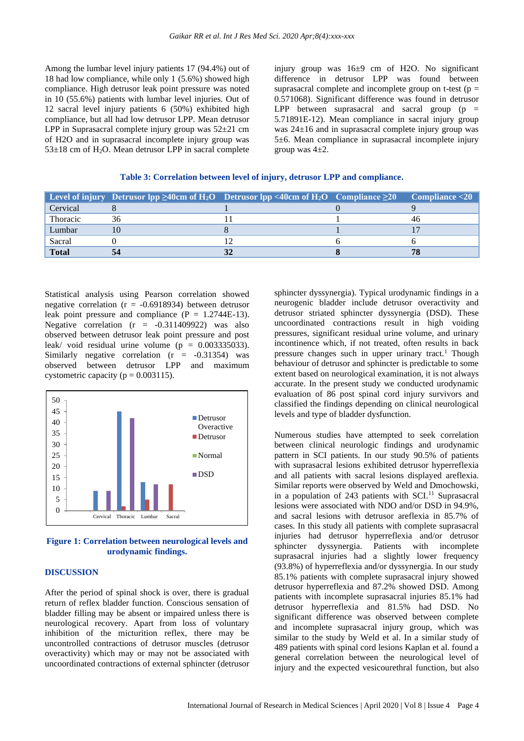Among the lumbar level injury patients 17 (94.4%) out of 18 had low compliance, while only 1 (5.6%) showed high compliance. High detrusor leak point pressure was noted in 10 (55.6%) patients with lumbar level injuries. Out of 12 sacral level injury patients 6 (50%) exhibited high compliance, but all had low detrusor LPP. Mean detrusor LPP in Suprasacral complete injury group was 52±21 cm of H2O and in suprasacral incomplete injury group was  $53\pm18$  cm of H<sub>2</sub>O. Mean detrusor LPP in sacral complete injury group was 16±9 cm of H2O. No significant difference in detrusor LPP was found between suprasacral complete and incomplete group on t-test ( $p =$ 0.571068). Significant difference was found in detrusor LPP between suprasacral and sacral group  $(p =$ 5.71891E-12). Mean compliance in sacral injury group was 24±16 and in suprasacral complete injury group was 5±6. Mean compliance in suprasacral incomplete injury group was  $4\pm 2$ .

#### **Table 3: Correlation between level of injury, detrusor LPP and compliance.**

|              |    | <b>Level of injury</b> Detrusor Ipp $\geq 40$ cm of H <sub>2</sub> O Detrusor Ipp <40cm of H <sub>2</sub> O Compliance $\geq 20$ | Compliance < 20 |
|--------------|----|----------------------------------------------------------------------------------------------------------------------------------|-----------------|
| Cervical     |    |                                                                                                                                  |                 |
| Thoracic     | 36 |                                                                                                                                  |                 |
| Lumbar       |    |                                                                                                                                  |                 |
| Sacral       |    |                                                                                                                                  |                 |
| <b>Total</b> | 54 |                                                                                                                                  |                 |

Statistical analysis using Pearson correlation showed negative correlation ( $r = -0.6918934$ ) between detrusor leak point pressure and compliance  $(P = 1.2744E-13)$ . Negative correlation  $(r = -0.311409922)$  was also observed between detrusor leak point pressure and post leak/ void residual urine volume ( $p = 0.003335033$ ). Similarly negative correlation  $(r = -0.31354)$  was observed between detrusor LPP and maximum cystometric capacity ( $p = 0.003115$ ).



#### **Figure 1: Correlation between neurological levels and urodynamic findings.**

#### **DISCUSSION**

After the period of spinal shock is over, there is gradual return of reflex bladder function. Conscious sensation of bladder filling may be absent or impaired unless there is neurological recovery. Apart from loss of voluntary inhibition of the micturition reflex, there may be uncontrolled contractions of detrusor muscles (detrusor overactivity) which may or may not be associated with uncoordinated contractions of external sphincter (detrusor sphincter dyssynergia). Typical urodynamic findings in a neurogenic bladder include detrusor overactivity and detrusor striated sphincter dyssynergia (DSD). These uncoordinated contractions result in high voiding pressures, significant residual urine volume, and urinary incontinence which, if not treated, often results in back pressure changes such in upper urinary tract.<sup>1</sup> Though behaviour of detrusor and sphincter is predictable to some extent based on neurological examination, it is not always accurate. In the present study we conducted urodynamic evaluation of 86 post spinal cord injury survivors and classified the findings depending on clinical neurological levels and type of bladder dysfunction.

Numerous studies have attempted to seek correlation between clinical neurologic findings and urodynamic pattern in SCI patients. In our study 90.5% of patients with suprasacral lesions exhibited detrusor hyperreflexia and all patients with sacral lesions displayed areflexia. Similar reports were observed by Weld and Dmochowski, in a population of  $243$  patients with SCI.<sup>11</sup> Suprasacral lesions were associated with NDO and/or DSD in 94.9%, and sacral lesions with detrusor areflexia in 85.7% of cases. In this study all patients with complete suprasacral injuries had detrusor hyperreflexia and/or detrusor sphincter dyssynergia. Patients with incomplete suprasacral injuries had a slightly lower frequency (93.8%) of hyperreflexia and/or dyssynergia. In our study 85.1% patients with complete suprasacral injury showed detrusor hyperreflexia and 87.2% showed DSD. Among patients with incomplete suprasacral injuries 85.1% had detrusor hyperreflexia and 81.5% had DSD. No significant difference was observed between complete and incomplete suprasacral injury group, which was similar to the study by Weld et al. In a similar study of 489 patients with spinal cord lesions Kaplan et al. found a general correlation between the neurological level of injury and the expected vesicourethral function, but also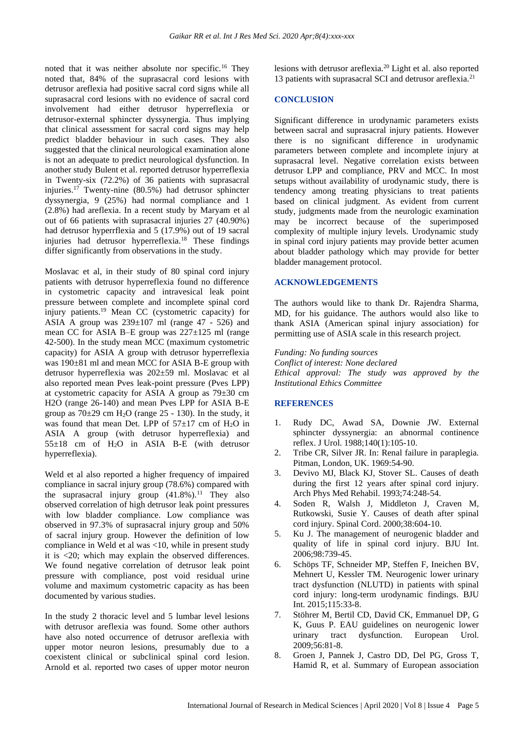noted that it was neither absolute nor specific.<sup>16</sup> They noted that, 84% of the suprasacral cord lesions with detrusor areflexia had positive sacral cord signs while all suprasacral cord lesions with no evidence of sacral cord involvement had either detrusor hyperreflexia or detrusor-external sphincter dyssynergia. Thus implying that clinical assessment for sacral cord signs may help predict bladder behaviour in such cases. They also suggested that the clinical neurological examination alone is not an adequate to predict neurological dysfunction. In another study Bulent et al. reported detrusor hyperreflexia in Twenty-six (72.2%) of 36 patients with suprasacral injuries.<sup>17</sup> Twenty-nine (80.5%) had detrusor sphincter dyssynergia, 9 (25%) had normal compliance and 1 (2.8%) had areflexia. In a recent study by Maryam et al out of 66 patients with suprasacral injuries 27 (40.90%) had detrusor hyperrflexia and 5 (17.9%) out of 19 sacral injuries had detrusor hyperreflexia.<sup>18</sup> These findings differ significantly from observations in the study.

Moslavac et al, in their study of 80 spinal cord injury patients with detrusor hyperreflexia found no difference in cystometric capacity and intravesical leak point pressure between complete and incomplete spinal cord injury patients.<sup>19</sup> Mean CC (cystometric capacity) for ASIA A group was  $239\pm107$  ml (range 47 - 526) and mean CC for ASIA B–E group was 227±125 ml (range 42-500). In the study mean MCC (maximum cystometric capacity) for ASIA A group with detrusor hyperreflexia was 190±81 ml and mean MCC for ASIA B-E group with detrusor hyperreflexia was 202±59 ml. Moslavac et al also reported mean Pves leak-point pressure (Pves LPP) at cystometric capacity for ASIA A group as 79±30 cm H2O (range 26-140) and mean Pves LPP for ASIA B-E group as  $70\pm29$  cm H<sub>2</sub>O (range 25 - 130). In the study, it was found that mean Det. LPP of  $57\pm17$  cm of H<sub>2</sub>O in ASIA A group (with detrusor hyperreflexia) and  $55\pm18$  cm of  $H_2O$  in ASIA B-E (with detrusor hyperreflexia).

Weld et al also reported a higher frequency of impaired compliance in sacral injury group (78.6%) compared with the suprasacral injury group  $(41.8\%)$ .<sup>11</sup> They also observed correlation of high detrusor leak point pressures with low bladder compliance. Low compliance was observed in 97.3% of suprasacral injury group and 50% of sacral injury group. However the definition of low compliance in Weld et al was <10, while in present study it is <20; which may explain the observed differences. We found negative correlation of detrusor leak point pressure with compliance, post void residual urine volume and maximum cystometric capacity as has been documented by various studies.

In the study 2 thoracic level and 5 lumbar level lesions with detrusor areflexia was found. Some other authors have also noted occurrence of detrusor areflexia with upper motor neuron lesions, presumably due to a coexistent clinical or subclinical spinal cord lesion. Arnold et al. reported two cases of upper motor neuron lesions with detrusor areflexia.<sup>20</sup> Light et al. also reported 13 patients with suprasacral SCI and detrusor areflexia.<sup>21</sup>

#### **CONCLUSION**

Significant difference in urodynamic parameters exists between sacral and suprasacral injury patients. However there is no significant difference in urodynamic parameters between complete and incomplete injury at suprasacral level. Negative correlation exists between detrusor LPP and compliance, PRV and MCC. In most setups without availability of urodynamic study, there is tendency among treating physicians to treat patients based on clinical judgment. As evident from current study, judgments made from the neurologic examination may be incorrect because of the superimposed complexity of multiple injury levels. Urodynamic study in spinal cord injury patients may provide better acumen about bladder pathology which may provide for better bladder management protocol.

#### **ACKNOWLEDGEMENTS**

The authors would like to thank Dr. Rajendra Sharma, MD, for his guidance. The authors would also like to thank ASIA (American spinal injury association) for permitting use of ASIA scale in this research project.

*Funding: No funding sources Conflict of interest: None declared Ethical approval: The study was approved by the Institutional Ethics Committee*

#### **REFERENCES**

- 1. Rudy DC, Awad SA, Downie JW. External sphincter dyssynergia: an abnormal continence reflex. J Urol. 1988;140(1):105-10.
- 2. Tribe CR, Silver JR. In: Renal failure in paraplegia. Pitman, London, UK. 1969:54-90.
- 3. Devivo MJ, Black KJ, Stover SL. Causes of death during the first 12 years after spinal cord injury. Arch Phys Med Rehabil. 1993;74:248-54.
- 4. Soden R, Walsh J, Middleton J, Craven M, Rutkowski, Susie Y. Causes of death after spinal cord injury. Spinal Cord. 2000;38:604-10.
- 5. Ku J. The management of neurogenic bladder and quality of life in spinal cord injury. BJU Int. 2006;98:739-45.
- 6. Schöps TF, Schneider MP, Steffen F, Ineichen BV, Mehnert U, Kessler TM. Neurogenic lower urinary tract dysfunction (NLUTD) in patients with spinal cord injury: long-term urodynamic findings. BJU Int. 2015;115:33-8.
- 7. Stöhrer M, Bertil CD, David CK, Emmanuel DP, G K, Guus P. EAU guidelines on neurogenic lower urinary tract dysfunction. European Urol. 2009;56:81-8.
- 8. Groen J, Pannek J, Castro DD, Del PG, Gross T, Hamid R, et al. Summary of European association